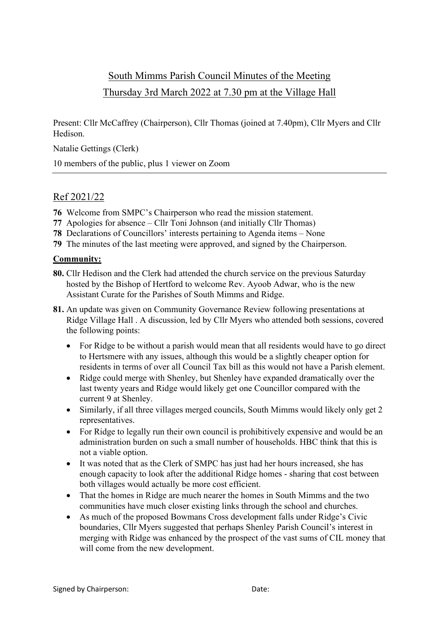# South Mimms Parish Council Minutes of the Meeting Thursday 3rd March 2022 at 7.30 pm at the Village Hall

Present: Cllr McCaffrey (Chairperson), Cllr Thomas (joined at 7.40pm), Cllr Myers and Cllr Hedison.

Natalie Gettings (Clerk)

10 members of the public, plus 1 viewer on Zoom

# Ref 2021/22

- **76** Welcome from SMPC's Chairperson who read the mission statement.
- **77** Apologies for absence Cllr Toni Johnson (and initially Cllr Thomas)
- **78** Declarations of Councillors' interests pertaining to Agenda items None
- **79** The minutes of the last meeting were approved, and signed by the Chairperson.

#### **Community:**

- **80.** Cllr Hedison and the Clerk had attended the church service on the previous Saturday hosted by the Bishop of Hertford to welcome Rev. Ayoob Adwar, who is the new Assistant Curate for the Parishes of South Mimms and Ridge.
- **81.** An update was given on Community Governance Review following presentations at Ridge Village Hall . A discussion, led by Cllr Myers who attended both sessions, covered the following points:
	- For Ridge to be without a parish would mean that all residents would have to go direct to Hertsmere with any issues, although this would be a slightly cheaper option for residents in terms of over all Council Tax bill as this would not have a Parish element.
	- Ridge could merge with Shenley, but Shenley have expanded dramatically over the last twenty years and Ridge would likely get one Councillor compared with the current 9 at Shenley.
	- Similarly, if all three villages merged councils, South Mimms would likely only get 2 representatives.
	- For Ridge to legally run their own council is prohibitively expensive and would be an administration burden on such a small number of households. HBC think that this is not a viable option.
	- It was noted that as the Clerk of SMPC has just had her hours increased, she has enough capacity to look after the additional Ridge homes - sharing that cost between both villages would actually be more cost efficient.
	- That the homes in Ridge are much nearer the homes in South Mimms and the two communities have much closer existing links through the school and churches.
	- As much of the proposed Bowmans Cross development falls under Ridge's Civic boundaries, Cllr Myers suggested that perhaps Shenley Parish Council's interest in merging with Ridge was enhanced by the prospect of the vast sums of CIL money that will come from the new development.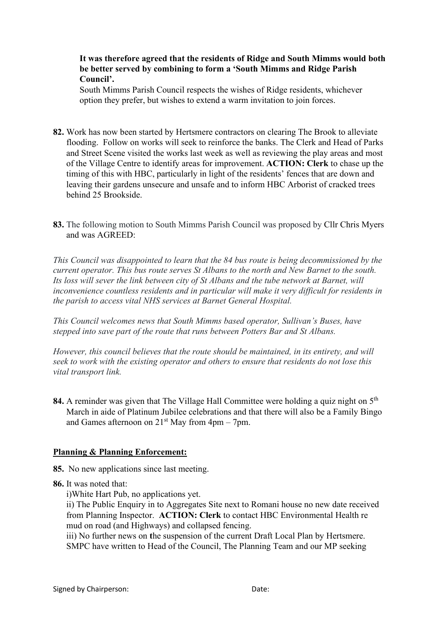### **It was therefore agreed that the residents of Ridge and South Mimms would both be better served by combining to form a 'South Mimms and Ridge Parish Council'.**

South Mimms Parish Council respects the wishes of Ridge residents, whichever option they prefer, but wishes to extend a warm invitation to join forces.

- **82.** Work has now been started by Hertsmere contractors on clearing The Brook to alleviate flooding. Follow on works will seek to reinforce the banks. The Clerk and Head of Parks and Street Scene visited the works last week as well as reviewing the play areas and most of the Village Centre to identify areas for improvement. **ACTION: Clerk** to chase up the timing of this with HBC, particularly in light of the residents' fences that are down and leaving their gardens unsecure and unsafe and to inform HBC Arborist of cracked trees behind 25 Brookside.
- **83.** The following motion to South Mimms Parish Council was proposed by Cllr Chris Myers and was AGREED:

*This Council was disappointed to learn that the 84 bus route is being decommissioned by the current operator. This bus route serves St Albans to the north and New Barnet to the south.*  Its loss will sever the link between city of St Albans and the tube network at Barnet, will *inconvenience countless residents and in particular will make it very difficult for residents in the parish to access vital NHS services at Barnet General Hospital.*

*This Council welcomes news that South Mimms based operator, Sullivan's Buses, have stepped into save part of the route that runs between Potters Bar and St Albans.*

*However, this council believes that the route should be maintained, in its entirety, and will seek to work with the existing operator and others to ensure that residents do not lose this vital transport link.*

**84.** A reminder was given that The Village Hall Committee were holding a quiz night on 5<sup>th</sup> March in aide of Platinum Jubilee celebrations and that there will also be a Family Bingo and Games afternoon on  $21^{st}$  May from 4pm – 7pm.

### **Planning & Planning Enforcement:**

**85.** No new applications since last meeting.

**86.** It was noted that:

i)White Hart Pub, no applications yet.

ii) The Public Enquiry in to Aggregates Site next to Romani house no new date received from Planning Inspector. **ACTION: Clerk** to contact HBC Environmental Health re mud on road (and Highways) and collapsed fencing.

iii) No further news on **t**he suspension of the current Draft Local Plan by Hertsmere. SMPC have written to Head of the Council, The Planning Team and our MP seeking